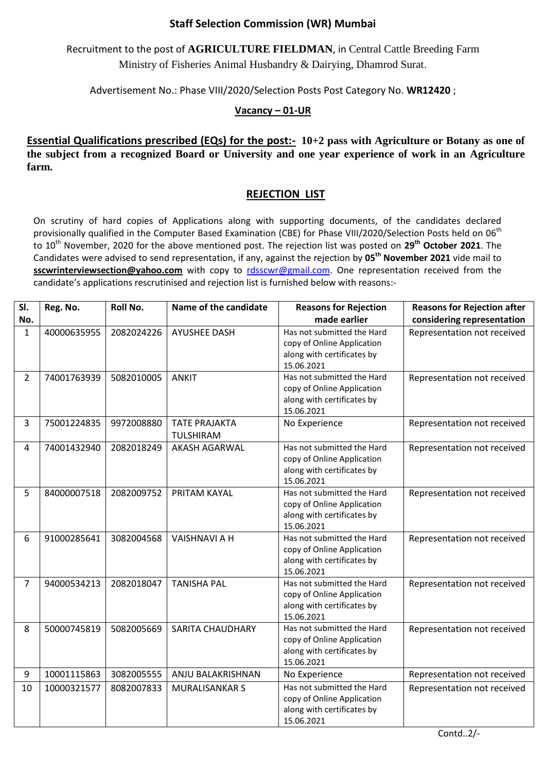## **Staff Selection Commission (WR) Mumbai**

Recruitment to the post of **AGRICULTURE FIELDMAN**, in Central Cattle Breeding Farm Ministry of Fisheries Animal Husbandry & Dairying, Dhamrod Surat.

Advertisement No.: Phase VIII/2020/Selection Posts Post Category No. **WR12420** ;

## **Vacancy – 01-UR**

**Essential Qualifications prescribed (EQs) for the post:- 10+2 pass with Agriculture or Botany as one of the subject from a recognized Board or University and one year experience of work in an Agriculture farm.**

## **REJECTION LIST**

On scrutiny of hard copies of Applications along with supporting documents, of the candidates declared provisionally qualified in the Computer Based Examination (CBE) for Phase VIII/2020/Selection Posts held on 06<sup>th</sup> to 10th November, 2020 for the above mentioned post. The rejection list was posted on **29th October 2021**. The Candidates were advised to send representation, if any, against the rejection by **05th November 2021** vide mail to **sscwrinterviewsection@yahoo.com** with copy to [rdsscwr@gmail.com.](mailto:rdsscwr@gmail.com) One representation received from the candidate's applications rescrutinised and rejection list is furnished below with reasons:-

| SI.            | Reg. No.    | Roll No.   | Name of the candidate             | <b>Reasons for Rejection</b>                                                                         | <b>Reasons for Rejection after</b> |
|----------------|-------------|------------|-----------------------------------|------------------------------------------------------------------------------------------------------|------------------------------------|
| No.            |             |            |                                   | made earlier                                                                                         | considering representation         |
| $\mathbf{1}$   | 40000635955 | 2082024226 | <b>AYUSHEE DASH</b>               | Has not submitted the Hard<br>copy of Online Application<br>along with certificates by<br>15.06.2021 | Representation not received        |
| $\overline{2}$ | 74001763939 | 5082010005 | <b>ANKIT</b>                      | Has not submitted the Hard<br>copy of Online Application<br>along with certificates by<br>15.06.2021 | Representation not received        |
| $\overline{3}$ | 75001224835 | 9972008880 | <b>TATE PRAJAKTA</b><br>TULSHIRAM | No Experience                                                                                        | Representation not received        |
| 4              | 74001432940 | 2082018249 | <b>AKASH AGARWAL</b>              | Has not submitted the Hard<br>copy of Online Application<br>along with certificates by<br>15.06.2021 | Representation not received        |
| 5              | 84000007518 | 2082009752 | PRITAM KAYAL                      | Has not submitted the Hard<br>copy of Online Application<br>along with certificates by<br>15.06.2021 | Representation not received        |
| 6              | 91000285641 | 3082004568 | <b>VAISHNAVI A H</b>              | Has not submitted the Hard<br>copy of Online Application<br>along with certificates by<br>15.06.2021 | Representation not received        |
| $\overline{7}$ | 94000534213 | 2082018047 | <b>TANISHA PAL</b>                | Has not submitted the Hard<br>copy of Online Application<br>along with certificates by<br>15.06.2021 | Representation not received        |
| 8              | 50000745819 | 5082005669 | <b>SARITA CHAUDHARY</b>           | Has not submitted the Hard<br>copy of Online Application<br>along with certificates by<br>15.06.2021 | Representation not received        |
| 9              | 10001115863 | 3082005555 | ANJU BALAKRISHNAN                 | No Experience                                                                                        | Representation not received        |
| 10             | 10000321577 | 8082007833 | <b>MURALISANKAR S</b>             | Has not submitted the Hard<br>copy of Online Application<br>along with certificates by<br>15.06.2021 | Representation not received        |